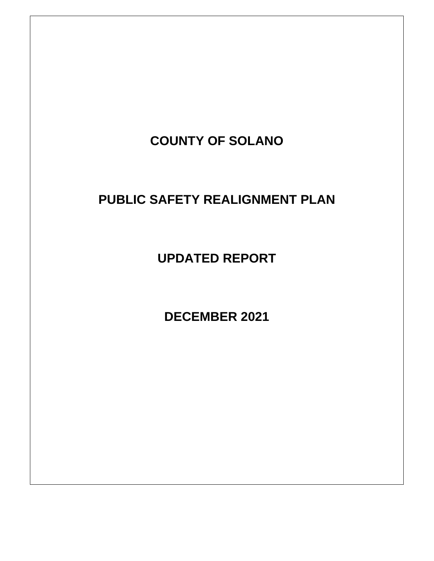

# **PUBLIC SAFETY REALIGNMENT PLAN**

**UPDATED REPORT**

**DECEMBER 2021**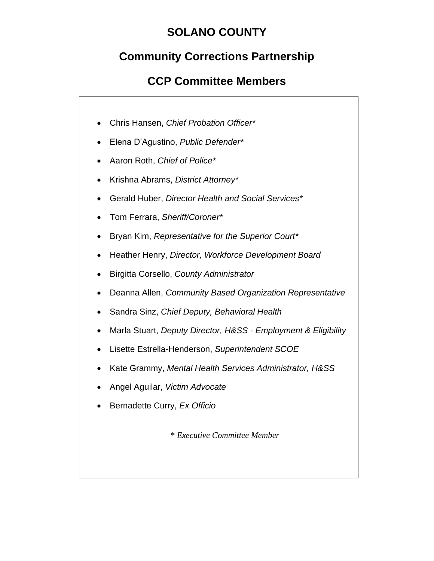# **SOLANO COUNTY**

# **Community Corrections Partnership**

# **CCP Committee Members**

- Chris Hansen, *Chief Probation Officer\**
- Elena D'Agustino, *Public Defender\**
- Aaron Roth, *Chief of Police\**
- Krishna Abrams, *District Attorney\**
- Gerald Huber, *Director Health and Social Services\**
- Tom Ferrara, *Sheriff/Coroner\**
- Bryan Kim, *Representative for the Superior Court\**
- Heather Henry, *Director, Workforce Development Board*
- Birgitta Corsello, *County Administrator*
- Deanna Allen, *Community Based Organization Representative*
- Sandra Sinz, *Chief Deputy, Behavioral Health*
- Marla Stuart, *Deputy Director, H&SS - Employment & Eligibility*
- Lisette Estrella-Henderson, *Superintendent SCOE*
- Kate Grammy, *Mental Health Services Administrator, H&SS*
- Angel Aguilar, *Victim Advocate*
- Bernadette Curry, *Ex Officio*

\* *Executive Committee Member*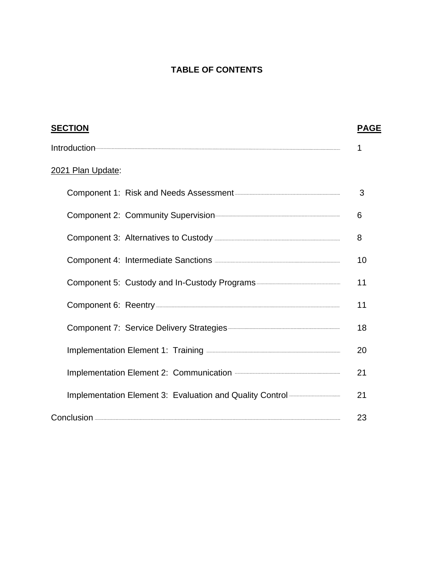## **TABLE OF CONTENTS**

| <b>SECTION</b>                                                                 | <b>PAGE</b> |
|--------------------------------------------------------------------------------|-------------|
|                                                                                |             |
| 2021 Plan Update:                                                              |             |
|                                                                                | 3           |
|                                                                                | 6           |
|                                                                                | 8           |
| Component 4: Intermediate Sanctions <b>Component 4: Intermediate Sanctions</b> | 10          |
|                                                                                | 11          |
|                                                                                | 11          |
|                                                                                | 18          |
| Implementation Element 1: Training <b>Constanting Constructs</b> 2014          | 20          |
|                                                                                | 21          |
| Implementation Element 3: Evaluation and Quality Control <b></b>               | 21          |
|                                                                                | 23          |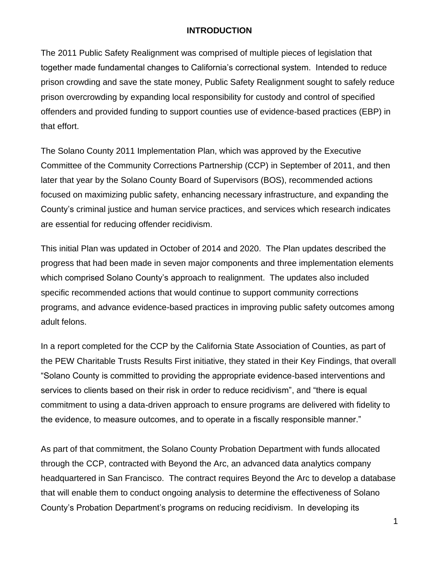### **INTRODUCTION**

The 2011 Public Safety Realignment was comprised of multiple pieces of legislation that together made fundamental changes to California's correctional system. Intended to reduce prison crowding and save the state money, Public Safety Realignment sought to safely reduce prison overcrowding by expanding local responsibility for custody and control of specified offenders and provided funding to support counties use of evidence-based practices (EBP) in that effort.

The Solano County 2011 Implementation Plan, which was approved by the Executive Committee of the Community Corrections Partnership (CCP) in September of 2011, and then later that year by the Solano County Board of Supervisors (BOS), recommended actions focused on maximizing public safety, enhancing necessary infrastructure, and expanding the County's criminal justice and human service practices, and services which research indicates are essential for reducing offender recidivism.

This initial Plan was updated in October of 2014 and 2020. The Plan updates described the progress that had been made in seven major components and three implementation elements which comprised Solano County's approach to realignment. The updates also included specific recommended actions that would continue to support community corrections programs, and advance evidence-based practices in improving public safety outcomes among adult felons.

In a report completed for the CCP by the California State Association of Counties, as part of the PEW Charitable Trusts Results First initiative, they stated in their Key Findings, that overall "Solano County is committed to providing the appropriate evidence-based interventions and services to clients based on their risk in order to reduce recidivism", and "there is equal commitment to using a data-driven approach to ensure programs are delivered with fidelity to the evidence, to measure outcomes, and to operate in a fiscally responsible manner."

As part of that commitment, the Solano County Probation Department with funds allocated through the CCP, contracted with Beyond the Arc, an advanced data analytics company headquartered in San Francisco. The contract requires Beyond the Arc to develop a database that will enable them to conduct ongoing analysis to determine the effectiveness of Solano County's Probation Department's programs on reducing recidivism. In developing its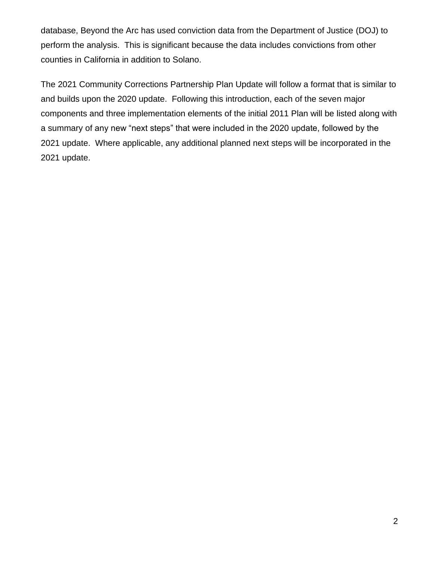database, Beyond the Arc has used conviction data from the Department of Justice (DOJ) to perform the analysis. This is significant because the data includes convictions from other counties in California in addition to Solano.

The 2021 Community Corrections Partnership Plan Update will follow a format that is similar to and builds upon the 2020 update. Following this introduction, each of the seven major components and three implementation elements of the initial 2011 Plan will be listed along with a summary of any new "next steps" that were included in the 2020 update, followed by the 2021 update. Where applicable, any additional planned next steps will be incorporated in the 2021 update.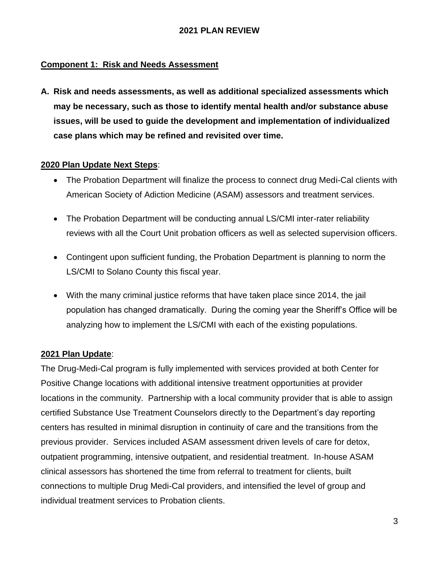## **Component 1: Risk and Needs Assessment**

**A. Risk and needs assessments, as well as additional specialized assessments which may be necessary, such as those to identify mental health and/or substance abuse issues, will be used to guide the development and implementation of individualized case plans which may be refined and revisited over time.**

### **2020 Plan Update Next Steps**:

- The Probation Department will finalize the process to connect drug Medi-Cal clients with American Society of Adiction Medicine (ASAM) assessors and treatment services.
- The Probation Department will be conducting annual LS/CMI inter-rater reliability reviews with all the Court Unit probation officers as well as selected supervision officers.
- Contingent upon sufficient funding, the Probation Department is planning to norm the LS/CMI to Solano County this fiscal year.
- With the many criminal justice reforms that have taken place since 2014, the jail population has changed dramatically. During the coming year the Sheriff's Office will be analyzing how to implement the LS/CMI with each of the existing populations.

### **2021 Plan Update**:

The Drug-Medi-Cal program is fully implemented with services provided at both Center for Positive Change locations with additional intensive treatment opportunities at provider locations in the community. Partnership with a local community provider that is able to assign certified Substance Use Treatment Counselors directly to the Department's day reporting centers has resulted in minimal disruption in continuity of care and the transitions from the previous provider. Services included ASAM assessment driven levels of care for detox, outpatient programming, intensive outpatient, and residential treatment. In-house ASAM clinical assessors has shortened the time from referral to treatment for clients, built connections to multiple Drug Medi-Cal providers, and intensified the level of group and individual treatment services to Probation clients.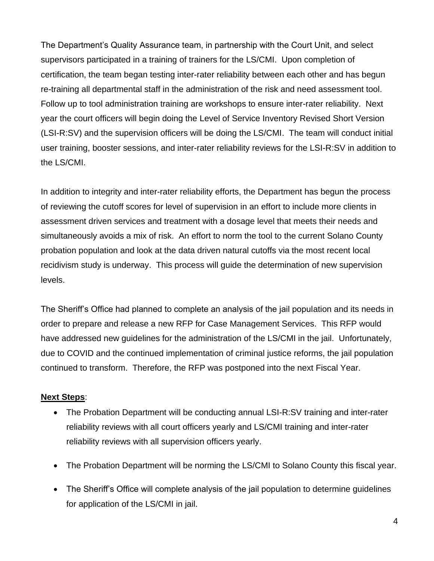The Department's Quality Assurance team, in partnership with the Court Unit, and select supervisors participated in a training of trainers for the LS/CMI. Upon completion of certification, the team began testing inter-rater reliability between each other and has begun re-training all departmental staff in the administration of the risk and need assessment tool. Follow up to tool administration training are workshops to ensure inter-rater reliability. Next year the court officers will begin doing the Level of Service Inventory Revised Short Version (LSI-R:SV) and the supervision officers will be doing the LS/CMI. The team will conduct initial user training, booster sessions, and inter-rater reliability reviews for the LSI-R:SV in addition to the LS/CMI.

In addition to integrity and inter-rater reliability efforts, the Department has begun the process of reviewing the cutoff scores for level of supervision in an effort to include more clients in assessment driven services and treatment with a dosage level that meets their needs and simultaneously avoids a mix of risk. An effort to norm the tool to the current Solano County probation population and look at the data driven natural cutoffs via the most recent local recidivism study is underway. This process will guide the determination of new supervision levels.

The Sheriff's Office had planned to complete an analysis of the jail population and its needs in order to prepare and release a new RFP for Case Management Services. This RFP would have addressed new guidelines for the administration of the LS/CMI in the jail. Unfortunately, due to COVID and the continued implementation of criminal justice reforms, the jail population continued to transform. Therefore, the RFP was postponed into the next Fiscal Year.

### **Next Steps**:

- The Probation Department will be conducting annual LSI-R:SV training and inter-rater reliability reviews with all court officers yearly and LS/CMI training and inter-rater reliability reviews with all supervision officers yearly.
- The Probation Department will be norming the LS/CMI to Solano County this fiscal year.
- The Sheriff's Office will complete analysis of the jail population to determine quidelines for application of the LS/CMI in jail.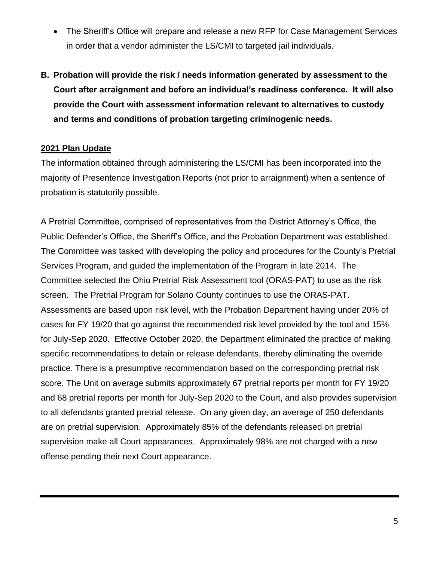- The Sheriff's Office will prepare and release a new RFP for Case Management Services in order that a vendor administer the LS/CMI to targeted jail individuals.
- **B. Probation will provide the risk / needs information generated by assessment to the Court after arraignment and before an individual's readiness conference. It will also provide the Court with assessment information relevant to alternatives to custody and terms and conditions of probation targeting criminogenic needs.**

### **2021 Plan Update**

The information obtained through administering the LS/CMI has been incorporated into the majority of Presentence Investigation Reports (not prior to arraignment) when a sentence of probation is statutorily possible.

A Pretrial Committee, comprised of representatives from the District Attorney's Office, the Public Defender's Office, the Sheriff's Office, and the Probation Department was established. The Committee was tasked with developing the policy and procedures for the County's Pretrial Services Program, and guided the implementation of the Program in late 2014. The Committee selected the Ohio Pretrial Risk Assessment tool (ORAS-PAT) to use as the risk screen. The Pretrial Program for Solano County continues to use the ORAS-PAT. Assessments are based upon risk level, with the Probation Department having under 20% of cases for FY 19/20 that go against the recommended risk level provided by the tool and 15% for July-Sep 2020. Effective October 2020, the Department eliminated the practice of making specific recommendations to detain or release defendants, thereby eliminating the override practice. There is a presumptive recommendation based on the corresponding pretrial risk score. The Unit on average submits approximately 67 pretrial reports per month for FY 19/20 and 68 pretrial reports per month for July-Sep 2020 to the Court, and also provides supervision to all defendants granted pretrial release. On any given day, an average of 250 defendants are on pretrial supervision. Approximately 85% of the defendants released on pretrial supervision make all Court appearances. Approximately 98% are not charged with a new offense pending their next Court appearance.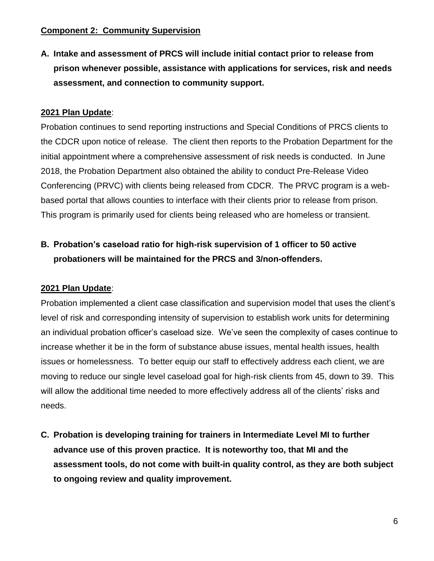### **Component 2: Community Supervision**

**A. Intake and assessment of PRCS will include initial contact prior to release from prison whenever possible, assistance with applications for services, risk and needs assessment, and connection to community support.**

## **2021 Plan Update**:

Probation continues to send reporting instructions and Special Conditions of PRCS clients to the CDCR upon notice of release. The client then reports to the Probation Department for the initial appointment where a comprehensive assessment of risk needs is conducted. In June 2018, the Probation Department also obtained the ability to conduct Pre-Release Video Conferencing (PRVC) with clients being released from CDCR. The PRVC program is a webbased portal that allows counties to interface with their clients prior to release from prison. This program is primarily used for clients being released who are homeless or transient.

## **B. Probation's caseload ratio for high-risk supervision of 1 officer to 50 active probationers will be maintained for the PRCS and 3/non-offenders.**

### **2021 Plan Update**:

Probation implemented a client case classification and supervision model that uses the client's level of risk and corresponding intensity of supervision to establish work units for determining an individual probation officer's caseload size. We've seen the complexity of cases continue to increase whether it be in the form of substance abuse issues, mental health issues, health issues or homelessness. To better equip our staff to effectively address each client, we are moving to reduce our single level caseload goal for high-risk clients from 45, down to 39. This will allow the additional time needed to more effectively address all of the clients' risks and needs.

**C. Probation is developing training for trainers in Intermediate Level MI to further advance use of this proven practice. It is noteworthy too, that MI and the assessment tools, do not come with built-in quality control, as they are both subject to ongoing review and quality improvement.**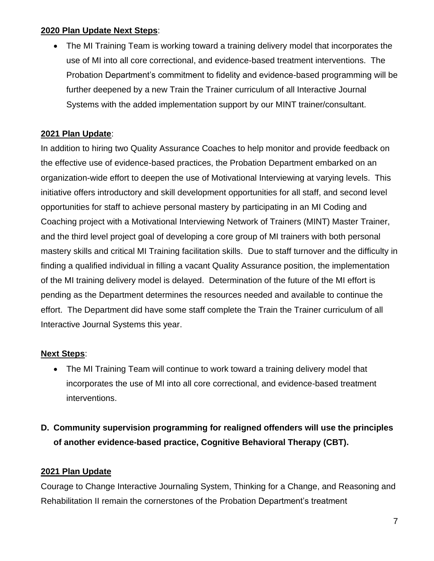## **2020 Plan Update Next Steps**:

• The MI Training Team is working toward a training delivery model that incorporates the use of MI into all core correctional, and evidence-based treatment interventions. The Probation Department's commitment to fidelity and evidence-based programming will be further deepened by a new Train the Trainer curriculum of all Interactive Journal Systems with the added implementation support by our MINT trainer/consultant.

## **2021 Plan Update**:

In addition to hiring two Quality Assurance Coaches to help monitor and provide feedback on the effective use of evidence-based practices, the Probation Department embarked on an organization-wide effort to deepen the use of Motivational Interviewing at varying levels. This initiative offers introductory and skill development opportunities for all staff, and second level opportunities for staff to achieve personal mastery by participating in an MI Coding and Coaching project with a Motivational Interviewing Network of Trainers (MINT) Master Trainer, and the third level project goal of developing a core group of MI trainers with both personal mastery skills and critical MI Training facilitation skills. Due to staff turnover and the difficulty in finding a qualified individual in filling a vacant Quality Assurance position, the implementation of the MI training delivery model is delayed. Determination of the future of the MI effort is pending as the Department determines the resources needed and available to continue the effort. The Department did have some staff complete the Train the Trainer curriculum of all Interactive Journal Systems this year.

## **Next Steps**:

• The MI Training Team will continue to work toward a training delivery model that incorporates the use of MI into all core correctional, and evidence-based treatment interventions.

## **D. Community supervision programming for realigned offenders will use the principles of another evidence-based practice, Cognitive Behavioral Therapy (CBT).**

## **2021 Plan Update**

Courage to Change Interactive Journaling System, Thinking for a Change, and Reasoning and Rehabilitation II remain the cornerstones of the Probation Department's treatment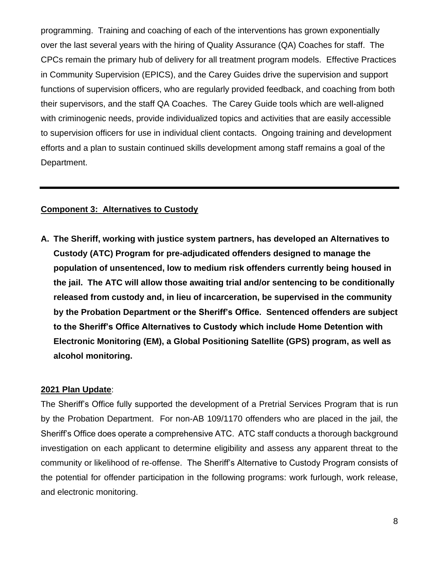programming. Training and coaching of each of the interventions has grown exponentially over the last several years with the hiring of Quality Assurance (QA) Coaches for staff. The CPCs remain the primary hub of delivery for all treatment program models. Effective Practices in Community Supervision (EPICS), and the Carey Guides drive the supervision and support functions of supervision officers, who are regularly provided feedback, and coaching from both their supervisors, and the staff QA Coaches. The Carey Guide tools which are well-aligned with criminogenic needs, provide individualized topics and activities that are easily accessible to supervision officers for use in individual client contacts. Ongoing training and development efforts and a plan to sustain continued skills development among staff remains a goal of the Department.

### **Component 3: Alternatives to Custody**

**A. The Sheriff, working with justice system partners, has developed an Alternatives to Custody (ATC) Program for pre-adjudicated offenders designed to manage the population of unsentenced, low to medium risk offenders currently being housed in the jail. The ATC will allow those awaiting trial and/or sentencing to be conditionally released from custody and, in lieu of incarceration, be supervised in the community by the Probation Department or the Sheriff's Office. Sentenced offenders are subject to the Sheriff's Office Alternatives to Custody which include Home Detention with Electronic Monitoring (EM), a Global Positioning Satellite (GPS) program, as well as alcohol monitoring.**

### **2021 Plan Update**:

The Sheriff's Office fully supported the development of a Pretrial Services Program that is run by the Probation Department. For non-AB 109/1170 offenders who are placed in the jail, the Sheriff's Office does operate a comprehensive ATC. ATC staff conducts a thorough background investigation on each applicant to determine eligibility and assess any apparent threat to the community or likelihood of re-offense. The Sheriff's Alternative to Custody Program consists of the potential for offender participation in the following programs: work furlough, work release, and electronic monitoring.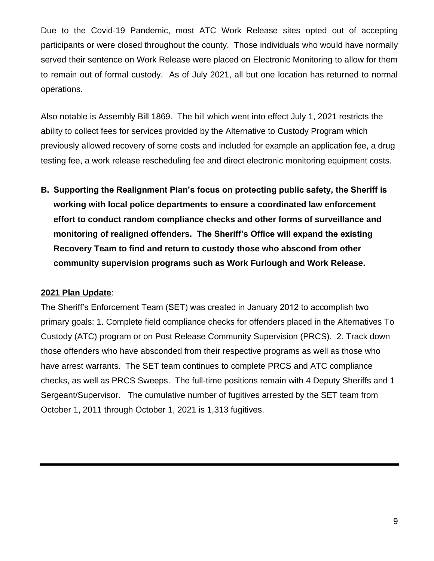Due to the Covid-19 Pandemic, most ATC Work Release sites opted out of accepting participants or were closed throughout the county. Those individuals who would have normally served their sentence on Work Release were placed on Electronic Monitoring to allow for them to remain out of formal custody. As of July 2021, all but one location has returned to normal operations.

Also notable is Assembly Bill 1869. The bill which went into effect July 1, 2021 restricts the ability to collect fees for services provided by the Alternative to Custody Program which previously allowed recovery of some costs and included for example an application fee, a drug testing fee, a work release rescheduling fee and direct electronic monitoring equipment costs.

**B. Supporting the Realignment Plan's focus on protecting public safety, the Sheriff is working with local police departments to ensure a coordinated law enforcement effort to conduct random compliance checks and other forms of surveillance and monitoring of realigned offenders. The Sheriff's Office will expand the existing Recovery Team to find and return to custody those who abscond from other community supervision programs such as Work Furlough and Work Release.**

### **2021 Plan Update**:

The Sheriff's Enforcement Team (SET) was created in January 2012 to accomplish two primary goals: 1. Complete field compliance checks for offenders placed in the Alternatives To Custody (ATC) program or on Post Release Community Supervision (PRCS). 2. Track down those offenders who have absconded from their respective programs as well as those who have arrest warrants. The SET team continues to complete PRCS and ATC compliance checks, as well as PRCS Sweeps. The full-time positions remain with 4 Deputy Sheriffs and 1 Sergeant/Supervisor. The cumulative number of fugitives arrested by the SET team from October 1, 2011 through October 1, 2021 is 1,313 fugitives.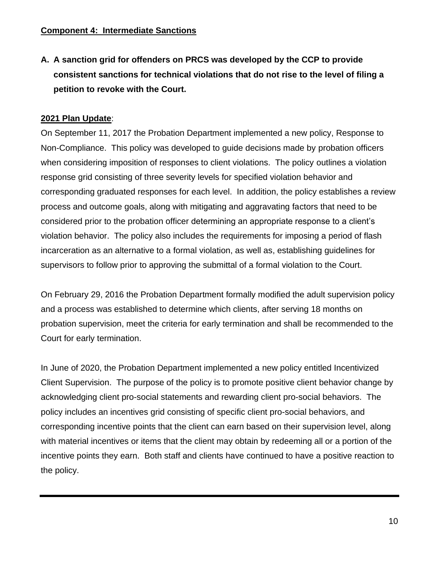**A. A sanction grid for offenders on PRCS was developed by the CCP to provide consistent sanctions for technical violations that do not rise to the level of filing a petition to revoke with the Court.**

## **2021 Plan Update**:

On September 11, 2017 the Probation Department implemented a new policy, Response to Non-Compliance. This policy was developed to guide decisions made by probation officers when considering imposition of responses to client violations. The policy outlines a violation response grid consisting of three severity levels for specified violation behavior and corresponding graduated responses for each level. In addition, the policy establishes a review process and outcome goals, along with mitigating and aggravating factors that need to be considered prior to the probation officer determining an appropriate response to a client's violation behavior. The policy also includes the requirements for imposing a period of flash incarceration as an alternative to a formal violation, as well as, establishing guidelines for supervisors to follow prior to approving the submittal of a formal violation to the Court.

On February 29, 2016 the Probation Department formally modified the adult supervision policy and a process was established to determine which clients, after serving 18 months on probation supervision, meet the criteria for early termination and shall be recommended to the Court for early termination.

In June of 2020, the Probation Department implemented a new policy entitled Incentivized Client Supervision. The purpose of the policy is to promote positive client behavior change by acknowledging client pro-social statements and rewarding client pro-social behaviors. The policy includes an incentives grid consisting of specific client pro-social behaviors, and corresponding incentive points that the client can earn based on their supervision level, along with material incentives or items that the client may obtain by redeeming all or a portion of the incentive points they earn. Both staff and clients have continued to have a positive reaction to the policy.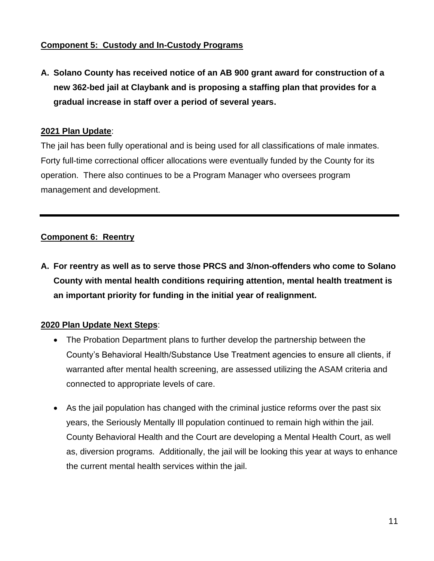## **Component 5: Custody and In-Custody Programs**

**A. Solano County has received notice of an AB 900 grant award for construction of a new 362-bed jail at Claybank and is proposing a staffing plan that provides for a gradual increase in staff over a period of several years.**

## **2021 Plan Update**:

The jail has been fully operational and is being used for all classifications of male inmates. Forty full-time correctional officer allocations were eventually funded by the County for its operation. There also continues to be a Program Manager who oversees program management and development.

## **Component 6: Reentry**

**A. For reentry as well as to serve those PRCS and 3/non-offenders who come to Solano County with mental health conditions requiring attention, mental health treatment is an important priority for funding in the initial year of realignment.**

## **2020 Plan Update Next Steps**:

- The Probation Department plans to further develop the partnership between the County's Behavioral Health/Substance Use Treatment agencies to ensure all clients, if warranted after mental health screening, are assessed utilizing the ASAM criteria and connected to appropriate levels of care.
- As the jail population has changed with the criminal justice reforms over the past six years, the Seriously Mentally Ill population continued to remain high within the jail. County Behavioral Health and the Court are developing a Mental Health Court, as well as, diversion programs. Additionally, the jail will be looking this year at ways to enhance the current mental health services within the jail.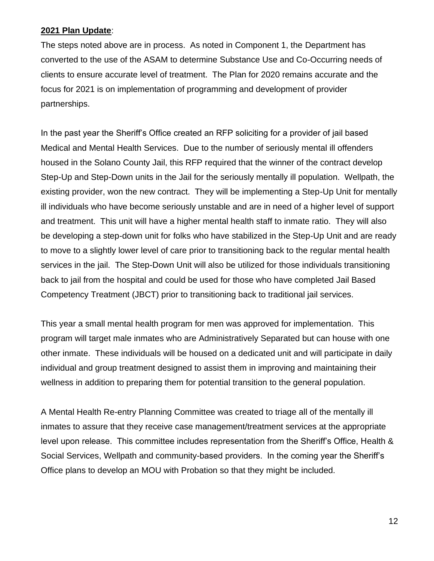### **2021 Plan Update**:

The steps noted above are in process. As noted in Component 1, the Department has converted to the use of the ASAM to determine Substance Use and Co-Occurring needs of clients to ensure accurate level of treatment. The Plan for 2020 remains accurate and the focus for 2021 is on implementation of programming and development of provider partnerships.

In the past year the Sheriff's Office created an RFP soliciting for a provider of jail based Medical and Mental Health Services. Due to the number of seriously mental ill offenders housed in the Solano County Jail, this RFP required that the winner of the contract develop Step-Up and Step-Down units in the Jail for the seriously mentally ill population. Wellpath, the existing provider, won the new contract. They will be implementing a Step-Up Unit for mentally ill individuals who have become seriously unstable and are in need of a higher level of support and treatment. This unit will have a higher mental health staff to inmate ratio. They will also be developing a step-down unit for folks who have stabilized in the Step-Up Unit and are ready to move to a slightly lower level of care prior to transitioning back to the regular mental health services in the jail. The Step-Down Unit will also be utilized for those individuals transitioning back to jail from the hospital and could be used for those who have completed Jail Based Competency Treatment (JBCT) prior to transitioning back to traditional jail services.

This year a small mental health program for men was approved for implementation. This program will target male inmates who are Administratively Separated but can house with one other inmate. These individuals will be housed on a dedicated unit and will participate in daily individual and group treatment designed to assist them in improving and maintaining their wellness in addition to preparing them for potential transition to the general population.

A Mental Health Re-entry Planning Committee was created to triage all of the mentally ill inmates to assure that they receive case management/treatment services at the appropriate level upon release. This committee includes representation from the Sheriff's Office, Health & Social Services, Wellpath and community-based providers. In the coming year the Sheriff's Office plans to develop an MOU with Probation so that they might be included.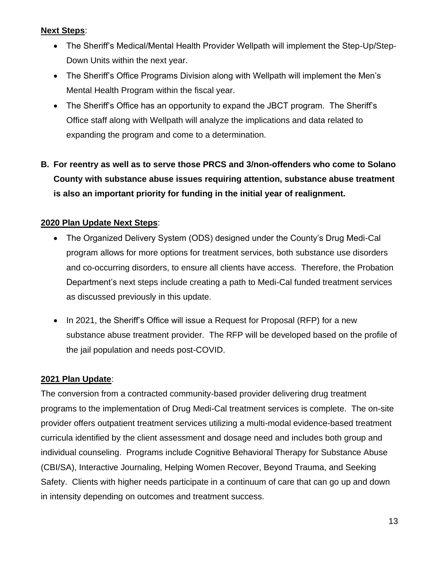## **Next Steps**:

- The Sheriff's Medical/Mental Health Provider Wellpath will implement the Step-Up/Step-Down Units within the next year.
- The Sheriff's Office Programs Division along with Wellpath will implement the Men's Mental Health Program within the fiscal year.
- The Sheriff's Office has an opportunity to expand the JBCT program. The Sheriff's Office staff along with Wellpath will analyze the implications and data related to expanding the program and come to a determination.
- **B. For reentry as well as to serve those PRCS and 3/non-offenders who come to Solano County with substance abuse issues requiring attention, substance abuse treatment is also an important priority for funding in the initial year of realignment.**

## **2020 Plan Update Next Steps**:

- The Organized Delivery System (ODS) designed under the County's Drug Medi-Cal program allows for more options for treatment services, both substance use disorders and co-occurring disorders, to ensure all clients have access. Therefore, the Probation Department's next steps include creating a path to Medi-Cal funded treatment services as discussed previously in this update.
- In 2021, the Sheriff's Office will issue a Request for Proposal (RFP) for a new substance abuse treatment provider. The RFP will be developed based on the profile of the jail population and needs post-COVID.

## **2021 Plan Update**:

The conversion from a contracted community-based provider delivering drug treatment programs to the implementation of Drug Medi-Cal treatment services is complete. The on-site provider offers outpatient treatment services utilizing a multi-modal evidence-based treatment curricula identified by the client assessment and dosage need and includes both group and individual counseling. Programs include Cognitive Behavioral Therapy for Substance Abuse (CBI/SA), Interactive Journaling, Helping Women Recover, Beyond Trauma, and Seeking Safety. Clients with higher needs participate in a continuum of care that can go up and down in intensity depending on outcomes and treatment success.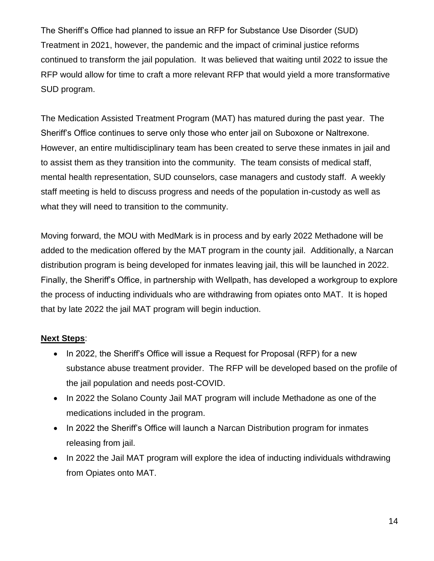The Sheriff's Office had planned to issue an RFP for Substance Use Disorder (SUD) Treatment in 2021, however, the pandemic and the impact of criminal justice reforms continued to transform the jail population. It was believed that waiting until 2022 to issue the RFP would allow for time to craft a more relevant RFP that would yield a more transformative SUD program.

The Medication Assisted Treatment Program (MAT) has matured during the past year. The Sheriff's Office continues to serve only those who enter jail on Suboxone or Naltrexone. However, an entire multidisciplinary team has been created to serve these inmates in jail and to assist them as they transition into the community. The team consists of medical staff, mental health representation, SUD counselors, case managers and custody staff. A weekly staff meeting is held to discuss progress and needs of the population in-custody as well as what they will need to transition to the community.

Moving forward, the MOU with MedMark is in process and by early 2022 Methadone will be added to the medication offered by the MAT program in the county jail. Additionally, a Narcan distribution program is being developed for inmates leaving jail, this will be launched in 2022. Finally, the Sheriff's Office, in partnership with Wellpath, has developed a workgroup to explore the process of inducting individuals who are withdrawing from opiates onto MAT. It is hoped that by late 2022 the jail MAT program will begin induction.

## **Next Steps**:

- In 2022, the Sheriff's Office will issue a Request for Proposal (RFP) for a new substance abuse treatment provider. The RFP will be developed based on the profile of the jail population and needs post-COVID.
- In 2022 the Solano County Jail MAT program will include Methadone as one of the medications included in the program.
- In 2022 the Sheriff's Office will launch a Narcan Distribution program for inmates releasing from jail.
- In 2022 the Jail MAT program will explore the idea of inducting individuals withdrawing from Opiates onto MAT.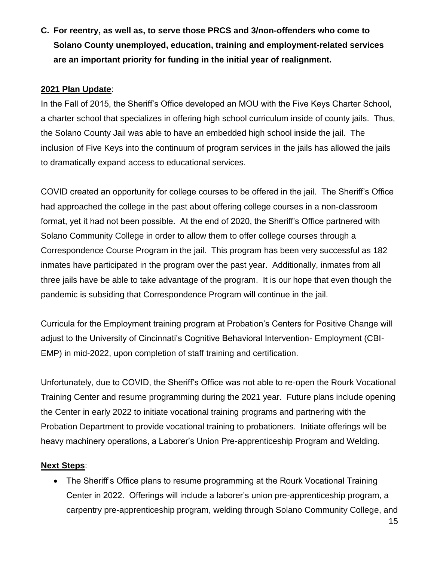**C. For reentry, as well as, to serve those PRCS and 3/non-offenders who come to Solano County unemployed, education, training and employment-related services are an important priority for funding in the initial year of realignment.** 

## **2021 Plan Update**:

In the Fall of 2015, the Sheriff's Office developed an MOU with the Five Keys Charter School, a charter school that specializes in offering high school curriculum inside of county jails. Thus, the Solano County Jail was able to have an embedded high school inside the jail. The inclusion of Five Keys into the continuum of program services in the jails has allowed the jails to dramatically expand access to educational services.

COVID created an opportunity for college courses to be offered in the jail. The Sheriff's Office had approached the college in the past about offering college courses in a non-classroom format, yet it had not been possible. At the end of 2020, the Sheriff's Office partnered with Solano Community College in order to allow them to offer college courses through a Correspondence Course Program in the jail. This program has been very successful as 182 inmates have participated in the program over the past year. Additionally, inmates from all three jails have be able to take advantage of the program. It is our hope that even though the pandemic is subsiding that Correspondence Program will continue in the jail.

Curricula for the Employment training program at Probation's Centers for Positive Change will adjust to the University of Cincinnati's Cognitive Behavioral Intervention- Employment (CBI-EMP) in mid-2022, upon completion of staff training and certification.

Unfortunately, due to COVID, the Sheriff's Office was not able to re-open the Rourk Vocational Training Center and resume programming during the 2021 year. Future plans include opening the Center in early 2022 to initiate vocational training programs and partnering with the Probation Department to provide vocational training to probationers. Initiate offerings will be heavy machinery operations, a Laborer's Union Pre-apprenticeship Program and Welding.

### **Next Steps**:

• The Sheriff's Office plans to resume programming at the Rourk Vocational Training Center in 2022. Offerings will include a laborer's union pre-apprenticeship program, a carpentry pre-apprenticeship program, welding through Solano Community College, and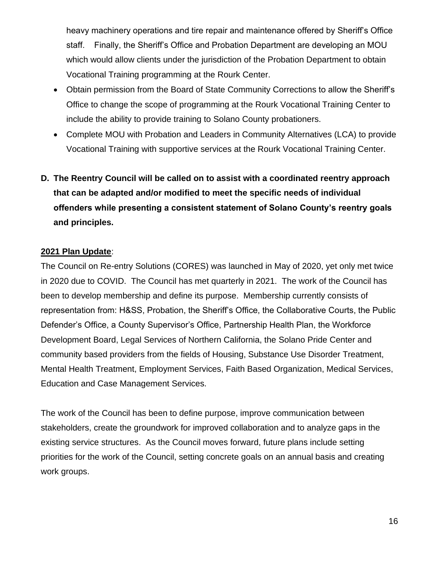heavy machinery operations and tire repair and maintenance offered by Sheriff's Office staff. Finally, the Sheriff's Office and Probation Department are developing an MOU which would allow clients under the jurisdiction of the Probation Department to obtain Vocational Training programming at the Rourk Center.

- Obtain permission from the Board of State Community Corrections to allow the Sheriff's Office to change the scope of programming at the Rourk Vocational Training Center to include the ability to provide training to Solano County probationers.
- Complete MOU with Probation and Leaders in Community Alternatives (LCA) to provide Vocational Training with supportive services at the Rourk Vocational Training Center.

## **D. The Reentry Council will be called on to assist with a coordinated reentry approach that can be adapted and/or modified to meet the specific needs of individual offenders while presenting a consistent statement of Solano County's reentry goals and principles.**

## **2021 Plan Update**:

The Council on Re-entry Solutions (CORES) was launched in May of 2020, yet only met twice in 2020 due to COVID. The Council has met quarterly in 2021. The work of the Council has been to develop membership and define its purpose. Membership currently consists of representation from: H&SS, Probation, the Sheriff's Office, the Collaborative Courts, the Public Defender's Office, a County Supervisor's Office, Partnership Health Plan, the Workforce Development Board, Legal Services of Northern California, the Solano Pride Center and community based providers from the fields of Housing, Substance Use Disorder Treatment, Mental Health Treatment, Employment Services, Faith Based Organization, Medical Services, Education and Case Management Services.

The work of the Council has been to define purpose, improve communication between stakeholders, create the groundwork for improved collaboration and to analyze gaps in the existing service structures. As the Council moves forward, future plans include setting priorities for the work of the Council, setting concrete goals on an annual basis and creating work groups.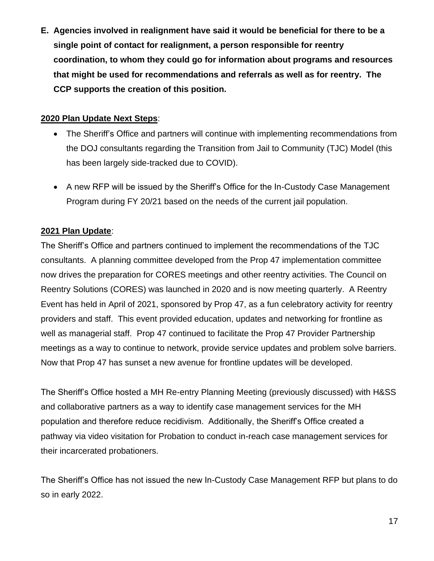**E. Agencies involved in realignment have said it would be beneficial for there to be a single point of contact for realignment, a person responsible for reentry coordination, to whom they could go for information about programs and resources that might be used for recommendations and referrals as well as for reentry. The CCP supports the creation of this position.**

## **2020 Plan Update Next Steps**:

- The Sheriff's Office and partners will continue with implementing recommendations from the DOJ consultants regarding the Transition from Jail to Community (TJC) Model (this has been largely side-tracked due to COVID).
- A new RFP will be issued by the Sheriff's Office for the In-Custody Case Management Program during FY 20/21 based on the needs of the current jail population.

## **2021 Plan Update**:

The Sheriff's Office and partners continued to implement the recommendations of the TJC consultants. A planning committee developed from the Prop 47 implementation committee now drives the preparation for CORES meetings and other reentry activities. The Council on Reentry Solutions (CORES) was launched in 2020 and is now meeting quarterly. A Reentry Event has held in April of 2021, sponsored by Prop 47, as a fun celebratory activity for reentry providers and staff. This event provided education, updates and networking for frontline as well as managerial staff. Prop 47 continued to facilitate the Prop 47 Provider Partnership meetings as a way to continue to network, provide service updates and problem solve barriers. Now that Prop 47 has sunset a new avenue for frontline updates will be developed.

The Sheriff's Office hosted a MH Re-entry Planning Meeting (previously discussed) with H&SS and collaborative partners as a way to identify case management services for the MH population and therefore reduce recidivism. Additionally, the Sheriff's Office created a pathway via video visitation for Probation to conduct in-reach case management services for their incarcerated probationers.

The Sheriff's Office has not issued the new In-Custody Case Management RFP but plans to do so in early 2022.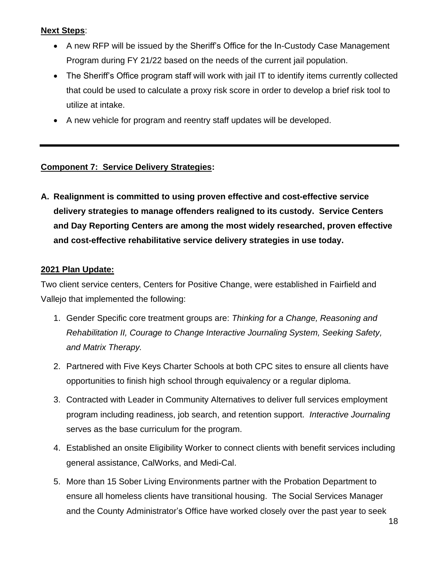## **Next Steps**:

- A new RFP will be issued by the Sheriff's Office for the In-Custody Case Management Program during FY 21/22 based on the needs of the current jail population.
- The Sheriff's Office program staff will work with jail IT to identify items currently collected that could be used to calculate a proxy risk score in order to develop a brief risk tool to utilize at intake.
- A new vehicle for program and reentry staff updates will be developed.

## **Component 7: Service Delivery Strategies:**

**A. Realignment is committed to using proven effective and cost-effective service delivery strategies to manage offenders realigned to its custody. Service Centers and Day Reporting Centers are among the most widely researched, proven effective and cost-effective rehabilitative service delivery strategies in use today.**

## **2021 Plan Update:**

Two client service centers, Centers for Positive Change, were established in Fairfield and Vallejo that implemented the following:

- 1. Gender Specific core treatment groups are: *Thinking for a Change, Reasoning and Rehabilitation II, Courage to Change Interactive Journaling System, Seeking Safety, and Matrix Therapy.*
- 2. Partnered with Five Keys Charter Schools at both CPC sites to ensure all clients have opportunities to finish high school through equivalency or a regular diploma.
- 3. Contracted with Leader in Community Alternatives to deliver full services employment program including readiness, job search, and retention support. *Interactive Journaling*  serves as the base curriculum for the program.
- 4. Established an onsite Eligibility Worker to connect clients with benefit services including general assistance, CalWorks, and Medi-Cal.
- 5. More than 15 Sober Living Environments partner with the Probation Department to ensure all homeless clients have transitional housing. The Social Services Manager and the County Administrator's Office have worked closely over the past year to seek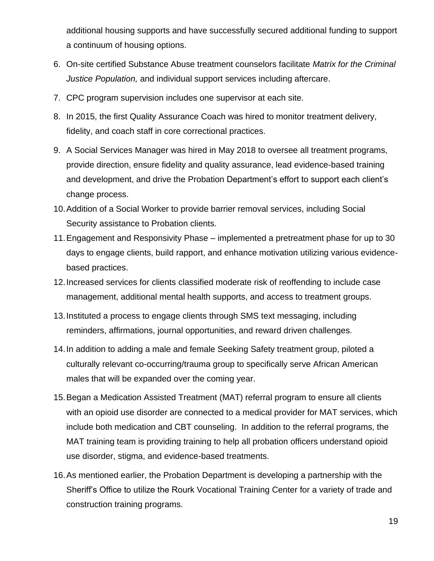additional housing supports and have successfully secured additional funding to support a continuum of housing options.

- 6. On-site certified Substance Abuse treatment counselors facilitate *Matrix for the Criminal Justice Population,* and individual support services including aftercare.
- 7. CPC program supervision includes one supervisor at each site.
- 8. In 2015, the first Quality Assurance Coach was hired to monitor treatment delivery, fidelity, and coach staff in core correctional practices.
- 9. A Social Services Manager was hired in May 2018 to oversee all treatment programs, provide direction, ensure fidelity and quality assurance, lead evidence-based training and development, and drive the Probation Department's effort to support each client's change process.
- 10.Addition of a Social Worker to provide barrier removal services, including Social Security assistance to Probation clients.
- 11.Engagement and Responsivity Phase implemented a pretreatment phase for up to 30 days to engage clients, build rapport, and enhance motivation utilizing various evidencebased practices.
- 12.Increased services for clients classified moderate risk of reoffending to include case management, additional mental health supports, and access to treatment groups.
- 13.Instituted a process to engage clients through SMS text messaging, including reminders, affirmations, journal opportunities, and reward driven challenges.
- 14.In addition to adding a male and female Seeking Safety treatment group, piloted a culturally relevant co-occurring/trauma group to specifically serve African American males that will be expanded over the coming year.
- 15.Began a Medication Assisted Treatment (MAT) referral program to ensure all clients with an opioid use disorder are connected to a medical provider for MAT services, which include both medication and CBT counseling. In addition to the referral programs, the MAT training team is providing training to help all probation officers understand opioid use disorder, stigma, and evidence-based treatments.
- 16.As mentioned earlier, the Probation Department is developing a partnership with the Sheriff's Office to utilize the Rourk Vocational Training Center for a variety of trade and construction training programs.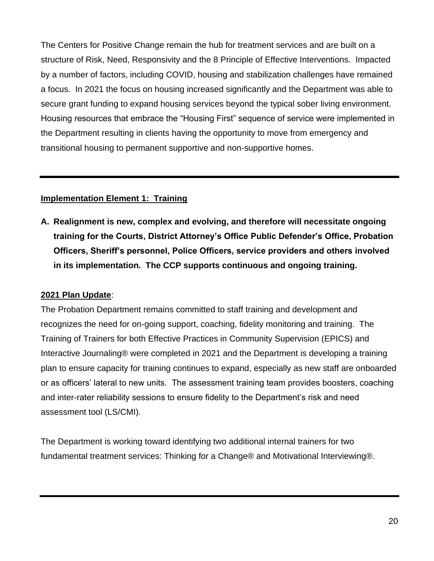The Centers for Positive Change remain the hub for treatment services and are built on a structure of Risk, Need, Responsivity and the 8 Principle of Effective Interventions. Impacted by a number of factors, including COVID, housing and stabilization challenges have remained a focus. In 2021 the focus on housing increased significantly and the Department was able to secure grant funding to expand housing services beyond the typical sober living environment. Housing resources that embrace the "Housing First" sequence of service were implemented in the Department resulting in clients having the opportunity to move from emergency and transitional housing to permanent supportive and non-supportive homes.

## **Implementation Element 1: Training**

**A. Realignment is new, complex and evolving, and therefore will necessitate ongoing training for the Courts, District Attorney's Office Public Defender's Office, Probation Officers, Sheriff's personnel, Police Officers, service providers and others involved in its implementation. The CCP supports continuous and ongoing training.**

### **2021 Plan Update**:

The Probation Department remains committed to staff training and development and recognizes the need for on-going support, coaching, fidelity monitoring and training. The Training of Trainers for both Effective Practices in Community Supervision (EPICS) and Interactive Journaling® were completed in 2021 and the Department is developing a training plan to ensure capacity for training continues to expand, especially as new staff are onboarded or as officers' lateral to new units. The assessment training team provides boosters, coaching and inter-rater reliability sessions to ensure fidelity to the Department's risk and need assessment tool (LS/CMI).

The Department is working toward identifying two additional internal trainers for two fundamental treatment services: Thinking for a Change® and Motivational Interviewing®.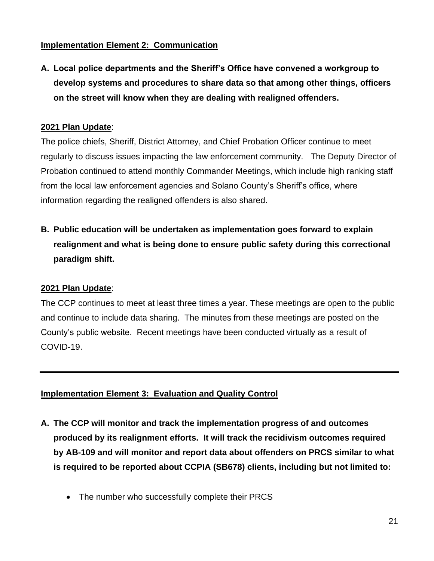## **Implementation Element 2: Communication**

**A. Local police departments and the Sheriff's Office have convened a workgroup to develop systems and procedures to share data so that among other things, officers on the street will know when they are dealing with realigned offenders.**

### **2021 Plan Update**:

The police chiefs, Sheriff, District Attorney, and Chief Probation Officer continue to meet regularly to discuss issues impacting the law enforcement community. The Deputy Director of Probation continued to attend monthly Commander Meetings, which include high ranking staff from the local law enforcement agencies and Solano County's Sheriff's office, where information regarding the realigned offenders is also shared.

**B. Public education will be undertaken as implementation goes forward to explain realignment and what is being done to ensure public safety during this correctional paradigm shift.**

### **2021 Plan Update**:

The CCP continues to meet at least three times a year. These meetings are open to the public and continue to include data sharing. The minutes from these meetings are posted on the County's public website. Recent meetings have been conducted virtually as a result of COVID-19.

### **Implementation Element 3: Evaluation and Quality Control**

- **A. The CCP will monitor and track the implementation progress of and outcomes produced by its realignment efforts. It will track the recidivism outcomes required by AB-109 and will monitor and report data about offenders on PRCS similar to what is required to be reported about CCPIA (SB678) clients, including but not limited to:**
	- The number who successfully complete their PRCS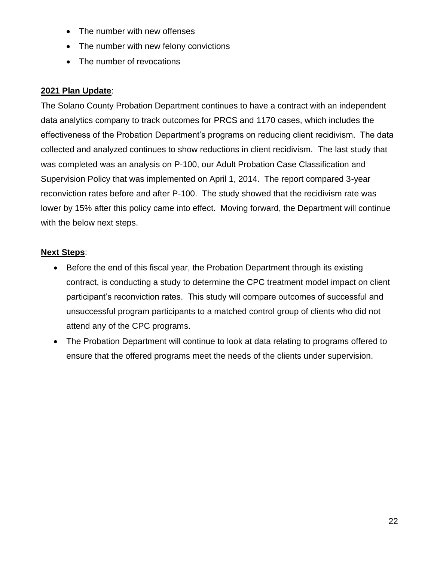- The number with new offenses
- The number with new felony convictions
- The number of revocations

## **2021 Plan Update**:

The Solano County Probation Department continues to have a contract with an independent data analytics company to track outcomes for PRCS and 1170 cases, which includes the effectiveness of the Probation Department's programs on reducing client recidivism. The data collected and analyzed continues to show reductions in client recidivism. The last study that was completed was an analysis on P-100, our Adult Probation Case Classification and Supervision Policy that was implemented on April 1, 2014. The report compared 3-year reconviction rates before and after P-100. The study showed that the recidivism rate was lower by 15% after this policy came into effect. Moving forward, the Department will continue with the below next steps.

## **Next Steps**:

- Before the end of this fiscal year, the Probation Department through its existing contract, is conducting a study to determine the CPC treatment model impact on client participant's reconviction rates. This study will compare outcomes of successful and unsuccessful program participants to a matched control group of clients who did not attend any of the CPC programs.
- The Probation Department will continue to look at data relating to programs offered to ensure that the offered programs meet the needs of the clients under supervision.